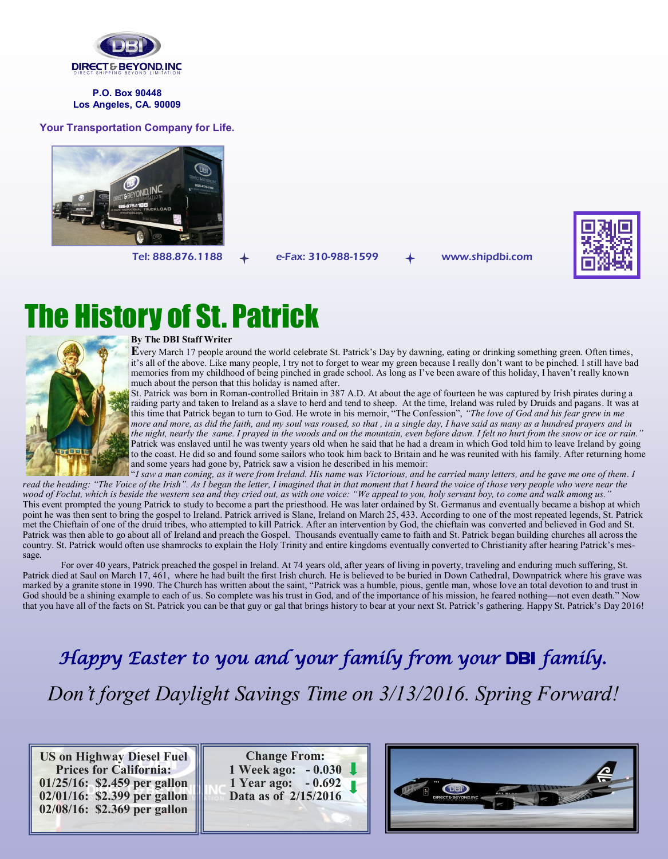

**P.O. Box 90448 Los Angeles, CA. 90009**

**Your Transportation Company for Life.**



Tel: 888.876.1188  $+$  e-Fax: 310-988-1599  $+$  www.shipdbi.com



## The History of St. Patrick



#### **By The DBI Staff Writer**

**E**very March 17 people around the world celebrate St. Patrick's Day by dawning, eating or drinking something green. Often times, it's all of the above. Like many people, I try not to forget to wear my green because I really don't want to be pinched. I still have bad memories from my childhood of being pinched in grade school. As long as I've been aware of this holiday, I haven't really known much about the person that this holiday is named after.

St. Patrick was born in Roman-controlled Britain in 387 A.D. At about the age of fourteen he was captured by Irish pirates during a raiding party and taken to Ireland as a slave to herd and tend to sheep. At the time, Ireland was ruled by Druids and pagans. It was at this time that Patrick began to turn to God. He wrote in his memoir, "The Confession", *"The love of God and his fear grew in me more and more, as did the faith, and my soul was roused, so that , in a single day, I have said as many as a hundred prayers and in the night, nearly the same. I prayed in the woods and on the mountain, even before dawn. I felt no hurt from the snow or ice or rain."*  Patrick was enslaved until he was twenty years old when he said that he had a dream in which God told him to leave Ireland by going to the coast. He did so and found some sailors who took him back to Britain and he was reunited with his family. After returning home and some years had gone by, Patrick saw a vision he described in his memoir:

"*I saw a man coming, as it were from Ireland. His name was Victorious, and he carried many letters, and he gave me one of them. I* read the heading: "The Voice of the Irish". As I began the letter, I imagined that in that moment that I heard the voice of those very people who were near the *wood of Foclut, which is beside the western sea and they cried out, as with one voice: "We appeal to you, holy servant boy, to come and walk among us."*  This event prompted the young Patrick to study to become a part the priesthood. He was later ordained by St. Germanus and eventually became a bishop at which point he was then sent to bring the gospel to Ireland. Patrick arrived is Slane, Ireland on March 25, 433. According to one of the most repeated legends, St. Patrick met the Chieftain of one of the druid tribes, who attempted to kill Patrick. After an intervention by God, the chieftain was converted and believed in God and St. Patrick was then able to go about all of Ireland and preach the Gospel. Thousands eventually came to faith and St. Patrick began building churches all across the country. St. Patrick would often use shamrocks to explain the Holy Trinity and entire kingdoms eventually converted to Christianity after hearing Patrick's message.

For over 40 years, Patrick preached the gospel in Ireland. At 74 years old, after years of living in poverty, traveling and enduring much suffering, St. Patrick died at Saul on March 17, 461, where he had built the first Irish church. He is believed to be buried in Down Cathedral, Downpatrick where his grave was marked by a granite stone in 1990. The Church has written about the saint, "Patrick was a humble, pious, gentle man, whose love an total devotion to and trust in God should be a shining example to each of us. So complete was his trust in God, and of the importance of his mission, he feared nothing—not even death." Now that you have all of the facts on St. Patrick you can be that guy or gal that brings history to bear at your next St. Patrick's gathering. Happy St. Patrick's Day 2016!

*Happy Easter to you and your family from your* DBI *family. Don't forget Daylight Savings Time on 3/13/2016. Spring Forward!* 

**US on Highway Diesel Fuel Prices for California: 01/25/16: \$2.459 per gallon 02/01/16: \$2.399 per gallon 02/08/16: \$2.369 per gallon**

**Change From: 1 Week ago: - 0.030 1 Year ago: - 0.692 Data as of 2/15/2016**